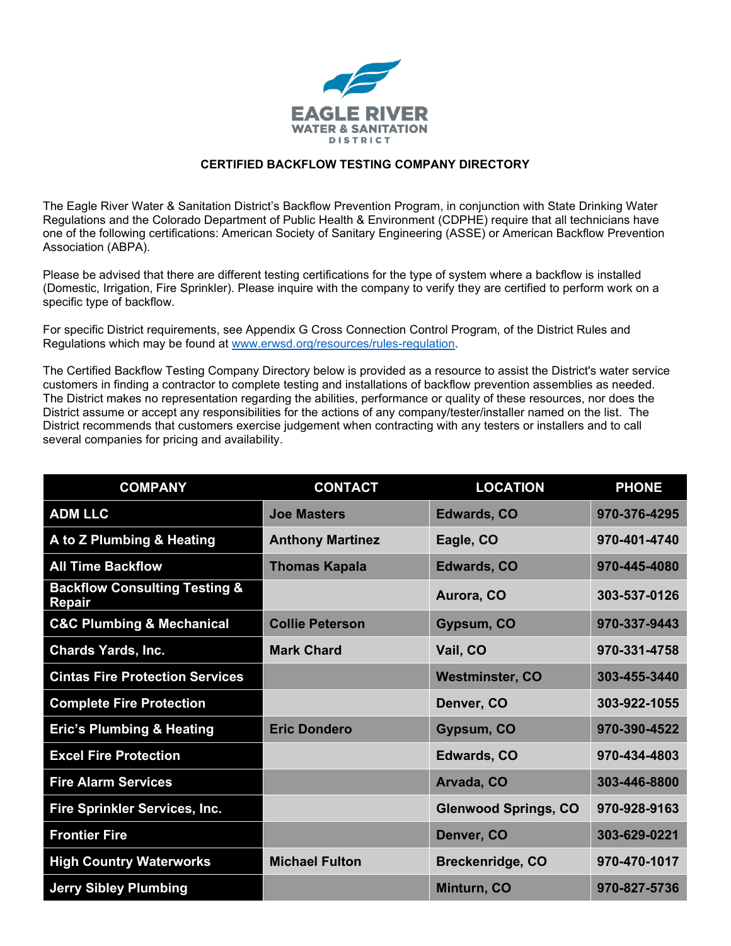

## **CERTIFIED BACKFLOW TESTING COMPANY DIRECTORY**

The Eagle River Water & Sanitation District's Backflow Prevention Program, in conjunction with State Drinking Water Regulations and the Colorado Department of Public Health & Environment (CDPHE) require that all technicians have one of the following certifications: American Society of Sanitary Engineering (ASSE) or American Backflow Prevention Association (ABPA).

Please be advised that there are different testing certifications for the type of system where a backflow is installed (Domestic, Irrigation, Fire Sprinkler). Please inquire with the company to verify they are certified to perform work on a specific type of backflow.

For specific District requirements, see Appendix G Cross Connection Control Program, of the District Rules and Regulations which may be found at [www.erwsd.org/resources/rules-regulation.](http://www.erwsd.org/resources/rules-regulation)

The Certified Backflow Testing Company Directory below is provided as a resource to assist the District's water service customers in finding a contractor to complete testing and installations of backflow prevention assemblies as needed. The District makes no representation regarding the abilities, performance or quality of these resources, nor does the District assume or accept any responsibilities for the actions of any company/tester/installer named on the list. The District recommends that customers exercise judgement when contracting with any testers or installers and to call several companies for pricing and availability.

| <b>COMPANY</b>                                            | <b>CONTACT</b>          | <b>LOCATION</b>             | <b>PHONE</b> |
|-----------------------------------------------------------|-------------------------|-----------------------------|--------------|
| <b>ADM LLC</b>                                            | <b>Joe Masters</b>      | <b>Edwards, CO</b>          | 970-376-4295 |
| A to Z Plumbing & Heating                                 | <b>Anthony Martinez</b> | Eagle, CO                   | 970-401-4740 |
| <b>All Time Backflow</b>                                  | <b>Thomas Kapala</b>    | <b>Edwards, CO</b>          | 970-445-4080 |
| <b>Backflow Consulting Testing &amp;</b><br><b>Repair</b> |                         | Aurora, CO                  | 303-537-0126 |
| <b>C&amp;C Plumbing &amp; Mechanical</b>                  | <b>Collie Peterson</b>  | Gypsum, CO                  | 970-337-9443 |
| <b>Chards Yards, Inc.</b>                                 | <b>Mark Chard</b>       | Vail, CO                    | 970-331-4758 |
| <b>Cintas Fire Protection Services</b>                    |                         | <b>Westminster, CO</b>      | 303-455-3440 |
| <b>Complete Fire Protection</b>                           |                         | Denver, CO                  | 303-922-1055 |
| <b>Eric's Plumbing &amp; Heating</b>                      | <b>Eric Dondero</b>     | Gypsum, CO                  | 970-390-4522 |
| <b>Excel Fire Protection</b>                              |                         | <b>Edwards, CO</b>          | 970-434-4803 |
| <b>Fire Alarm Services</b>                                |                         | Arvada, CO                  | 303-446-8800 |
| Fire Sprinkler Services, Inc.                             |                         | <b>Glenwood Springs, CO</b> | 970-928-9163 |
| <b>Frontier Fire</b>                                      |                         | Denver, CO                  | 303-629-0221 |
| <b>High Country Waterworks</b>                            | <b>Michael Fulton</b>   | <b>Breckenridge, CO</b>     | 970-470-1017 |
| <b>Jerry Sibley Plumbing</b>                              |                         | Minturn, CO                 | 970-827-5736 |